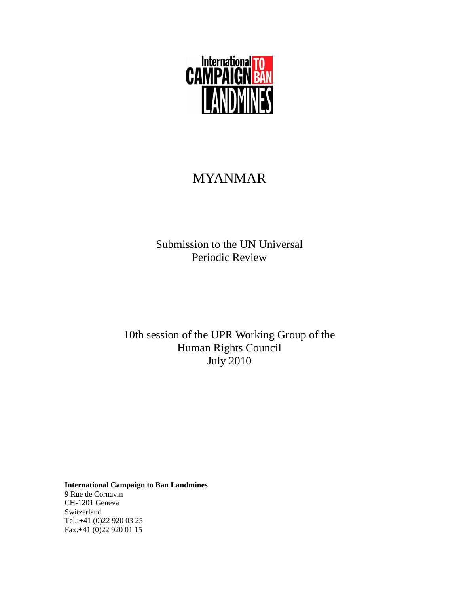

# MYANMAR

Submission to the UN Universal Periodic Review

10th session of the UPR Working Group of the Human Rights Council July 2010

**International Campaign to Ban Landmines**  9 Rue de Cornavin CH-1201 Geneva Switzerland Tel.:+41 (0)22 920 03 25 Fax:+41 (0)22 920 01 15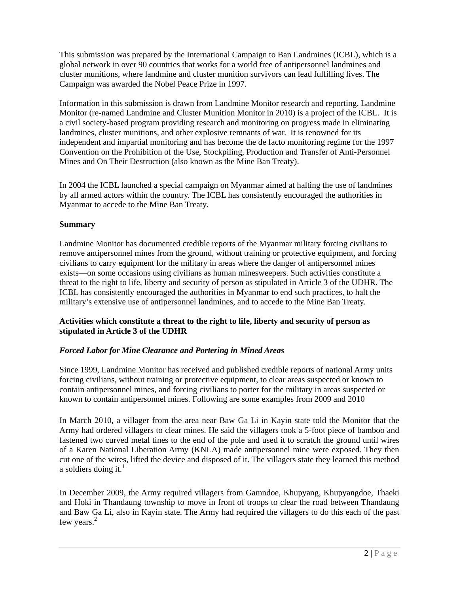This submission was prepared by the International Campaign to Ban Landmines (ICBL), which is a global network in over 90 countries that works for a world free of antipersonnel landmines and cluster munitions, where landmine and cluster munition survivors can lead fulfilling lives. The Campaign was awarded the Nobel Peace Prize in 1997.

Information in this submission is drawn from Landmine Monitor research and reporting. Landmine Monitor (re-named Landmine and Cluster Munition Monitor in 2010) is a project of the ICBL. It is a civil society-based program providing research and monitoring on progress made in eliminating landmines, cluster munitions, and other explosive remnants of war. It is renowned for its independent and impartial monitoring and has become the de facto monitoring regime for the 1997 Convention on the Prohibition of the Use, Stockpiling, Production and Transfer of Anti-Personnel Mines and On Their Destruction (also known as the Mine Ban Treaty).

In 2004 the ICBL launched a special campaign on Myanmar aimed at halting the use of landmines by all armed actors within the country. The ICBL has consistently encouraged the authorities in Myanmar to accede to the Mine Ban Treaty.

### **Summary**

Landmine Monitor has documented credible reports of the Myanmar military forcing civilians to remove antipersonnel mines from the ground, without training or protective equipment, and forcing civilians to carry equipment for the military in areas where the danger of antipersonnel mines exists—on some occasions using civilians as human minesweepers. Such activities constitute a threat to the right to life, liberty and security of person as stipulated in Article 3 of the UDHR. The ICBL has consistently encouraged the authorities in Myanmar to end such practices, to halt the military's extensive use of antipersonnel landmines, and to accede to the Mine Ban Treaty.

### **Activities which constitute a threat to the right to life, liberty and security of person as stipulated in Article 3 of the UDHR**

## *Forced Labor for Mine Clearance and Portering in Mined Areas*

Since 1999, Landmine Monitor has received and published credible reports of national Army units forcing civilians, without training or protective equipment, to clear areas suspected or known to contain antipersonnel mines, and forcing civilians to porter for the military in areas suspected or known to contain antipersonnel mines. Following are some examples from 2009 and 2010

In March 2010, a villager from the area near Baw Ga Li in Kayin state told the Monitor that the Army had ordered villagers to clear mines. He said the villagers took a 5-foot piece of bamboo and fastened two curved metal tines to the end of the pole and used it to scratch the ground until wires of a Karen National Liberation Army (KNLA) made antipersonnel mine were exposed. They then cut one of the wires, lifted the device and disposed of it. The villagers state they learned this method a soldiers doing it. $<sup>1</sup>$ </sup>

In December 2009, the Army required villagers from Gamndoe, Khupyang, Khupyangdoe, Thaeki and Hoki in Thandaung township to move in front of troops to clear the road between Thandaung and Baw Ga Li, also in Kayin state. The Army had required the villagers to do this each of the past few years.<sup>2</sup>